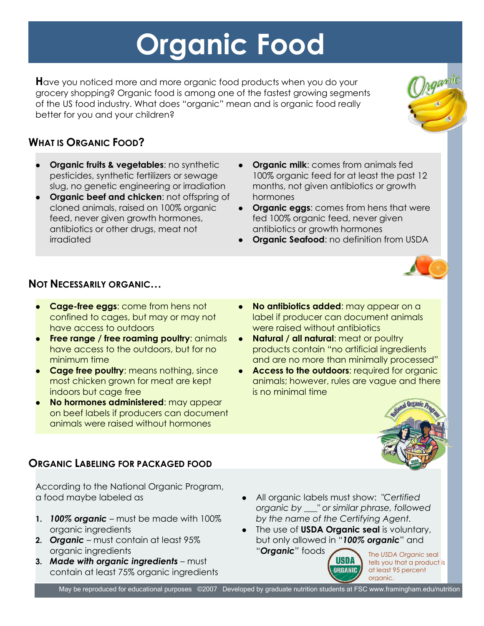# **Organic Food**

**H**ave you noticed more and more organic food products when you do your grocery shopping? Organic food is among one of the fastest growing segments of the US food industry. What does "organic" mean and is organic food really better for you and your children?

## **WHAT IS ORGANIC FOOD?**

- **Organic fruits & vegetables:** no synthetic pesticides, synthetic fertilizers or sewage slug, no genetic engineering or irradiation
- **Organic beef and chicken**: not offspring of cloned animals, raised on 100% organic feed, never given growth hormones, antibiotics or other drugs, meat not irradiated
- **Organic milk**: comes from animals fed 100% organic feed for at least the past 12 months, not given antibiotics or growth hormones
- **Organic eggs**: comes from hens that were fed 100% organic feed, never given antibiotics or growth hormones
- **Organic Seafood:** no definition from USDA



#### **NOT NECESSARILY ORGANIC…**

- **Cage-free eggs**: come from hens not confined to cages, but may or may not have access to outdoors
- **Free range / free roaming poultry: animals** have access to the outdoors, but for no minimum time
- **Cage free poultry:** means nothing, since most chicken grown for meat are kept indoors but cage free
- **No hormones administered**: may appear on beef labels if producers can document animals were raised without hormones
- **No antibiotics added**: may appear on a label if producer can document animals were raised without antibiotics
- **Natural / all natural:** meat or poultry products contain "no artificial ingredients and are no more than minimally processed"
- **Access to the outdoors: required for organic** animals; however, rules are vague and there is no minimal time



#### **ORGANIC LABELING FOR PACKAGED FOOD**

According to the National Organic Program, a food maybe labeled as

- **1.** *100% organic* must be made with 100% organic ingredients
- **2.** *Organic* must contain at least 95% organic ingredients
- **3.** *Made with organic ingredients* must contain at least 75% organic ingredients
- All organic labels must show: *"Certified organic by \_\_\_" or similar phrase, followed by the name of the Certifying Agent.*
- The use of **USDA Organic seal** is voluntary, but only allowed in "*100% organic*" and "*Organic*" foods



The *USDA Organic* seal tells you that a product is at least 95 percent organic.

May be reproduced for educational purposes ©2007 Developed by graduate nutrition students at FSC www.framingham.edu/nutrition